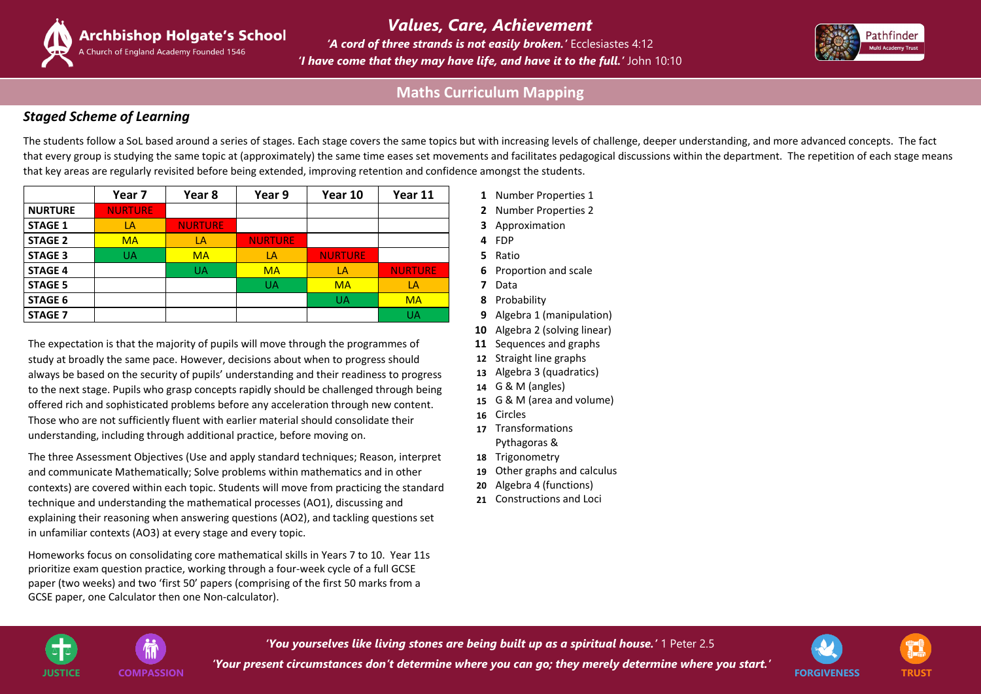*'You yourselves like living stones are being built up as a spiritual house.'* 1 Peter 2.5 *'Your present circumstances don't determine where you can go; they merely determine where you start.'*  **JUSTICE COMPASSION FORGIVENESS TRUST**











*'A cord of three strands is not easily broken.'* Ecclesiastes 4:12 *'I have come that they may have life, and have it to the full.'* John 10:10 *Values, Care, Achievement*

## *Staged Scheme of Learning*

The students follow a SoL based around a series of stages. Each stage covers the same topics but with increasing levels of challenge, deeper understanding, and more advanced concepts. The fact that every group is studying the same topic at (approximately) the same time eases set movements and facilitates pedagogical discussions within the department. The repetition of each stage means that key areas are regularly revisited before being extended, improving retention and confidence amongst the students.

|                | Year 7         | Year 8         | Year 9         | Year 10        | Year 11        |
|----------------|----------------|----------------|----------------|----------------|----------------|
| <b>NURTURE</b> | <b>NURTURE</b> |                |                |                |                |
| <b>STAGE 1</b> | LA             | <b>NURTURE</b> |                |                |                |
| <b>STAGE 2</b> | <b>MA</b>      | LA             | <b>NURTURE</b> |                |                |
| <b>STAGE 3</b> | <b>UA</b>      | <b>MA</b>      | LA             | <b>NURTURE</b> |                |
| <b>STAGE 4</b> |                | <b>UA</b>      | <b>MA</b>      | LA             | <b>NURTURE</b> |
| <b>STAGE 5</b> |                |                | <b>UA</b>      | <b>MA</b>      | LA             |
| <b>STAGE 6</b> |                |                |                | <b>UA</b>      | <b>MA</b>      |
| <b>STAGE 7</b> |                |                |                |                | <b>UA</b>      |

The expectation is that the majority of pupils will move through the programmes of study at broadly the same pace. However, decisions about when to progress should always be based on the security of pupils' understanding and their readiness to progress to the next stage. Pupils who grasp concepts rapidly should be challenged through being offered rich and sophisticated problems before any acceleration through new content. Those who are not sufficiently fluent with earlier material should consolidate their understanding, including through additional practice, before moving on.

- **Year 7 Year 8 Year 9 Year 10 Year 11 1** Number Properties 1
- **2** Number Properties 2
- **3** Approximation
- 
- 
- **6** Proportion and scale
- 
- **8** Probability
- **9** Algebra 1 (manipulation)
- **10** Algebra 2 (solving linear)
- **11** Sequences and graphs
- **12** Straight line graphs
- **13** Algebra 3 (quadratics)
- **14** G & M (angles)
- **15** G & M (area and volume)
- **16** Circles
- **17** Transformations Pythagoras &
- **18** Trigonometry
- **19** Other graphs and calculus
- **20** Algebra 4 (functions)
- **21** Constructions and Loci





The three Assessment Objectives (Use and apply standard techniques; Reason, interpret and communicate Mathematically; Solve problems within mathematics and in other contexts) are covered within each topic. Students will move from practicing the standard technique and understanding the mathematical processes (AO1), discussing and explaining their reasoning when answering questions (AO2), and tackling questions set in unfamiliar contexts (AO3) at every stage and every topic.

Homeworks focus on consolidating core mathematical skills in Years 7 to 10. Year 11s prioritize exam question practice, working through a four-week cycle of a full GCSE paper (two weeks) and two 'first 50' papers (comprising of the first 50 marks from a GCSE paper, one Calculator then one Non-calculator).

# **Maths Curriculum Mapping**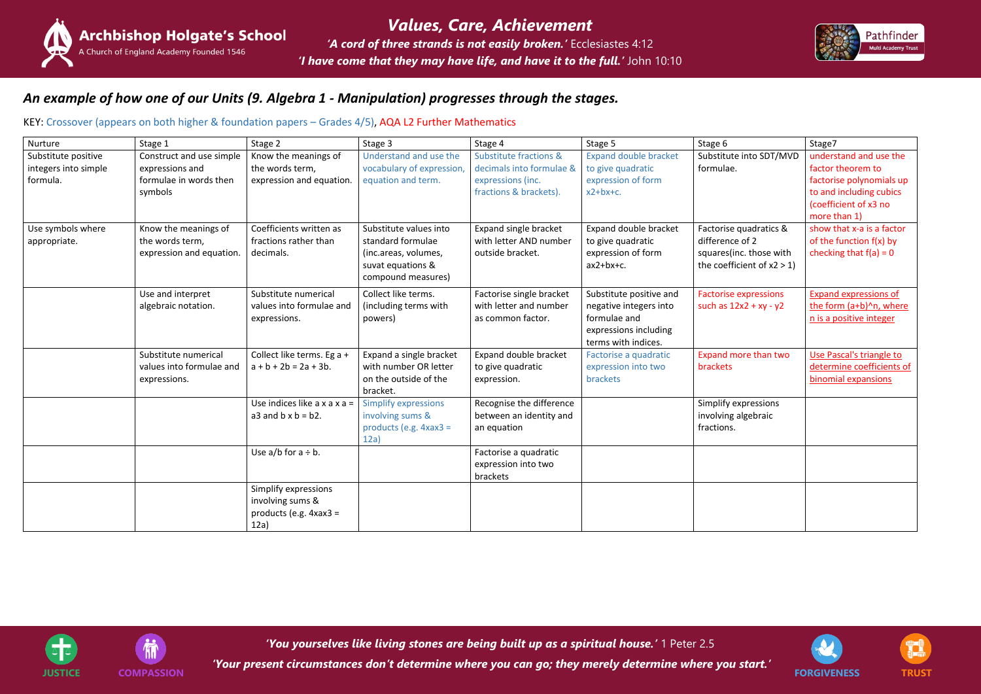*'You yourselves like living stones are being built up as a spiritual house.'* 1 Peter 2.5

*'Your present circumstances don't determine where you can go; they merely determine where you start.'*  **JUSTICE COMPASSION FORGIVENESS TRUST**











## *An example of how one of our Units (9. Algebra 1 - Manipulation) progresses through the stages.*

#### KEY: Crossover (appears on both higher & foundation papers – Grades 4/5), AQA L2 Further Mathematics

| Nurture                                                 | Stage 1                                                                          | Stage 2                                                                      | Stage 3                                                                                                        | Stage 4                                                                                                      | Stage 5                                                                                                           | Stage 6                                                                                               | Stage7                                                                                                                                      |
|---------------------------------------------------------|----------------------------------------------------------------------------------|------------------------------------------------------------------------------|----------------------------------------------------------------------------------------------------------------|--------------------------------------------------------------------------------------------------------------|-------------------------------------------------------------------------------------------------------------------|-------------------------------------------------------------------------------------------------------|---------------------------------------------------------------------------------------------------------------------------------------------|
| Substitute positive<br>integers into simple<br>formula. | Construct and use simple<br>expressions and<br>formulae in words then<br>symbols | Know the meanings of<br>the words term,<br>expression and equation.          | Understand and use the<br>vocabulary of expression,<br>equation and term.                                      | <b>Substitute fractions &amp;</b><br>decimals into formulae &<br>expressions (inc.<br>fractions & brackets). | <b>Expand double bracket</b><br>to give quadratic<br>expression of form<br>$x2+bx+c.$                             | Substitute into SDT/MVD<br>formulae.                                                                  | understand and use the<br>factor theorem to<br>factorise polynomials up<br>to and including cubics<br>(coefficient of x3 no<br>more than 1) |
| Use symbols where<br>appropriate.                       | Know the meanings of<br>the words term,<br>expression and equation.              | Coefficients written as<br>fractions rather than<br>decimals.                | Substitute values into<br>standard formulae<br>(inc.areas, volumes,<br>suvat equations &<br>compound measures) | Expand single bracket<br>with letter AND number<br>outside bracket.                                          | Expand double bracket<br>to give quadratic<br>expression of form<br>$ax2+bx+c$ .                                  | Factorise quadratics &<br>difference of 2<br>squares(inc. those with<br>the coefficient of $x2 > 1$ ) | show that x-a is a factor<br>of the function f(x) by<br>checking that $f(a) = 0$                                                            |
|                                                         | Use and interpret<br>algebraic notation.                                         | Substitute numerical<br>values into formulae and<br>expressions.             | Collect like terms.<br>(including terms with<br>powers)                                                        | Factorise single bracket<br>with letter and number<br>as common factor.                                      | Substitute positive and<br>negative integers into<br>formulae and<br>expressions including<br>terms with indices. | <b>Factorise expressions</b><br>such as $12x2 + xy - y2$                                              | <b>Expand expressions of</b><br>the form (a+b)^n, where<br>n is a positive integer                                                          |
|                                                         | Substitute numerical<br>values into formulae and<br>expressions.                 | Collect like terms. Eg a +<br>$a + b + 2b = 2a + 3b$ .                       | Expand a single bracket<br>with number OR letter<br>on the outside of the<br>bracket.                          | Expand double bracket<br>to give quadratic<br>expression.                                                    | Factorise a quadratic<br>expression into two<br>brackets                                                          | Expand more than two<br>brackets                                                                      | Use Pascal's triangle to<br>determine coefficients of<br>binomial expansions                                                                |
|                                                         |                                                                                  | Use indices like $a \times a \times a =$<br>a3 and $b \times b = b2$ .       | <b>Simplify expressions</b><br>involving sums &<br>products (e.g. $4xax3 =$<br>12a)                            | Recognise the difference<br>between an identity and<br>an equation                                           |                                                                                                                   | Simplify expressions<br>involving algebraic<br>fractions.                                             |                                                                                                                                             |
|                                                         |                                                                                  | Use $a/b$ for $a \div b$ .                                                   |                                                                                                                | Factorise a quadratic<br>expression into two<br>brackets                                                     |                                                                                                                   |                                                                                                       |                                                                                                                                             |
|                                                         |                                                                                  | Simplify expressions<br>involving sums &<br>products (e.g. $4xax3 =$<br>12a) |                                                                                                                |                                                                                                              |                                                                                                                   |                                                                                                       |                                                                                                                                             |